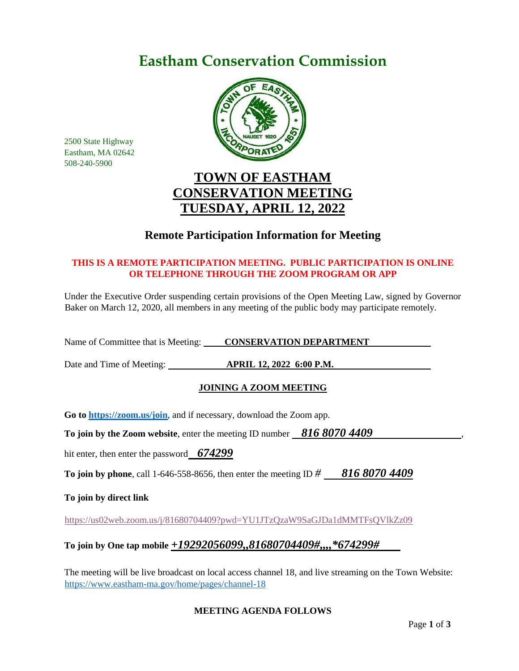# **Eastham Conservation Commission**



2500 State Highway Eastham, MA 02642 508-240-5900

# **TOWN OF EASTHAM CONSERVATION MEETING TUESDAY, APRIL 12, 2022**

# **Remote Participation Information for Meeting**

## **THIS IS A REMOTE PARTICIPATION MEETING. PUBLIC PARTICIPATION IS ONLINE OR TELEPHONE THROUGH THE ZOOM PROGRAM OR APP**

Under the Executive Order suspending certain provisions of the Open Meeting Law, signed by Governor Baker on March 12, 2020, all members in any meeting of the public body may participate remotely.

Name of Committee that is Meeting: **CONSERVATION DEPARTMENT** 

Date and Time of Meeting: **APRIL 12, 2022 6:00 P.M.**

## **JOINING A ZOOM MEETING**

**Go to<https://zoom.us/join>**, and if necessary, download the Zoom app.

**To join by the Zoom website, enter the meeting ID number 816 8070 4409** 

hit enter, then enter the password *674299*

**To join by phone**, call 1-646-558-8656, then enter the meeting ID *# 816 8070 4409*

**To join by direct link**

<https://us02web.zoom.us/j/81680704409?pwd=YU1JTzQzaW9SaGJDa1dMMTFsQVlkZz09>

# **To join by One tap mobile** *+19292056099,,81680704409#,,,,\*674299#*

The meeting will be live broadcast on local access channel 18, and live streaming on the Town Website: <https://www.eastham-ma.gov/home/pages/channel-18>

### **MEETING AGENDA FOLLOWS**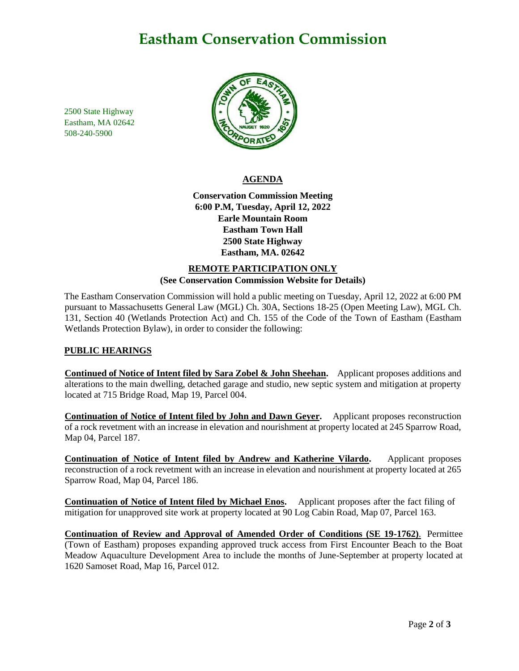# **Eastham Conservation Commission**

2500 State Highway Eastham, MA 02642 508-240-5900



#### **AGENDA**

**Conservation Commission Meeting 6:00 P.M, Tuesday, April 12, 2022 Earle Mountain Room Eastham Town Hall 2500 State Highway Eastham, MA. 02642**

### **REMOTE PARTICIPATION ONLY (See Conservation Commission Website for Details)**

The Eastham Conservation Commission will hold a public meeting on Tuesday, April 12, 2022 at 6:00 PM pursuant to Massachusetts General Law (MGL) Ch. 30A, Sections 18-25 (Open Meeting Law), MGL Ch. 131, Section 40 (Wetlands Protection Act) and Ch. 155 of the Code of the Town of Eastham (Eastham Wetlands Protection Bylaw), in order to consider the following:

### **PUBLIC HEARINGS**

**Continued of Notice of Intent filed by Sara Zobel & John Sheehan.** Applicant proposes additions and alterations to the main dwelling, detached garage and studio, new septic system and mitigation at property located at 715 Bridge Road, Map 19, Parcel 004.

**Continuation of Notice of Intent filed by John and Dawn Geyer.** Applicant proposes reconstruction of a rock revetment with an increase in elevation and nourishment at property located at 245 Sparrow Road, Map 04, Parcel 187.

**Continuation of Notice of Intent filed by Andrew and Katherine Vilardo.** Applicant proposes reconstruction of a rock revetment with an increase in elevation and nourishment at property located at 265 Sparrow Road, Map 04, Parcel 186.

**Continuation of Notice of Intent filed by Michael Enos.** Applicant proposes after the fact filing of mitigation for unapproved site work at property located at 90 Log Cabin Road, Map 07, Parcel 163.

**Continuation of Review and Approval of Amended Order of Conditions (SE 19-1762)**. Permittee (Town of Eastham) proposes expanding approved truck access from First Encounter Beach to the Boat Meadow Aquaculture Development Area to include the months of June-September at property located at 1620 Samoset Road, Map 16, Parcel 012.